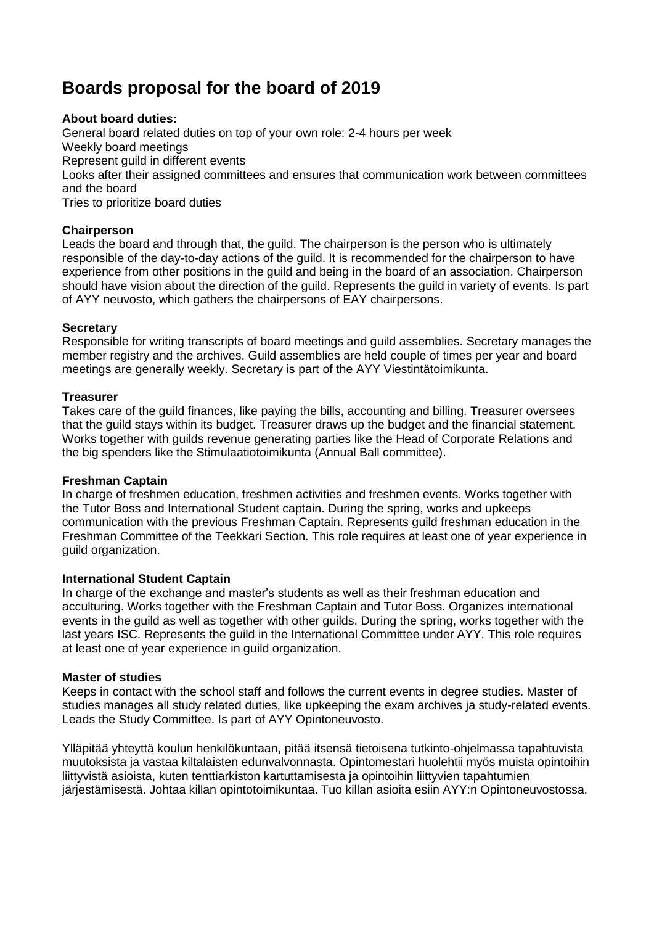# **Boards proposal for the board of 2019**

## **About board duties:**

General board related duties on top of your own role: 2-4 hours per week Weekly board meetings Represent guild in different events Looks after their assigned committees and ensures that communication work between committees and the board Tries to prioritize board duties

## **Chairperson**

Leads the board and through that, the guild. The chairperson is the person who is ultimately responsible of the day-to-day actions of the guild. It is recommended for the chairperson to have experience from other positions in the guild and being in the board of an association. Chairperson should have vision about the direction of the guild. Represents the guild in variety of events. Is part of AYY neuvosto, which gathers the chairpersons of EAY chairpersons.

## **Secretary**

Responsible for writing transcripts of board meetings and guild assemblies. Secretary manages the member registry and the archives. Guild assemblies are held couple of times per year and board meetings are generally weekly. Secretary is part of the AYY Viestintätoimikunta.

## **Treasurer**

Takes care of the guild finances, like paying the bills, accounting and billing. Treasurer oversees that the guild stays within its budget. Treasurer draws up the budget and the financial statement. Works together with guilds revenue generating parties like the Head of Corporate Relations and the big spenders like the Stimulaatiotoimikunta (Annual Ball committee).

## **Freshman Captain**

In charge of freshmen education, freshmen activities and freshmen events. Works together with the Tutor Boss and International Student captain. During the spring, works and upkeeps communication with the previous Freshman Captain. Represents guild freshman education in the Freshman Committee of the Teekkari Section. This role requires at least one of year experience in guild organization.

## **International Student Captain**

In charge of the exchange and master's students as well as their freshman education and acculturing. Works together with the Freshman Captain and Tutor Boss. Organizes international events in the guild as well as together with other guilds. During the spring, works together with the last years ISC. Represents the guild in the International Committee under AYY. This role requires at least one of year experience in guild organization.

## **Master of studies**

Keeps in contact with the school staff and follows the current events in degree studies. Master of studies manages all study related duties, like upkeeping the exam archives ja study-related events. Leads the Study Committee. Is part of AYY Opintoneuvosto.

Ylläpitää yhteyttä koulun henkilökuntaan, pitää itsensä tietoisena tutkinto-ohjelmassa tapahtuvista muutoksista ja vastaa kiltalaisten edunvalvonnasta. Opintomestari huolehtii myös muista opintoihin liittyvistä asioista, kuten tenttiarkiston kartuttamisesta ja opintoihin liittyvien tapahtumien järjestämisestä. Johtaa killan opintotoimikuntaa. Tuo killan asioita esiin AYY:n Opintoneuvostossa.